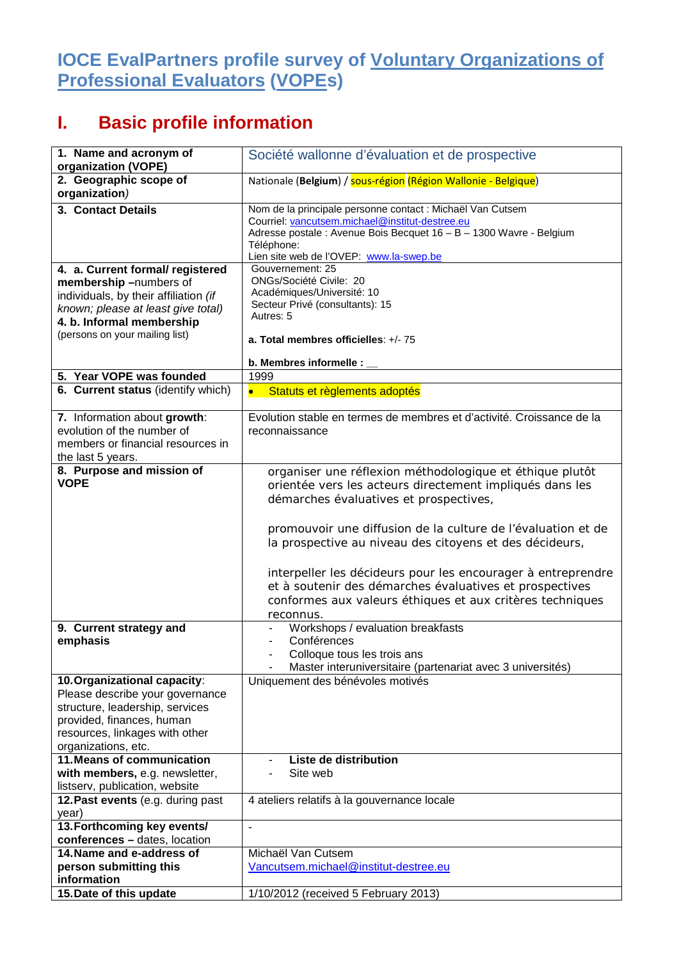## **IOCE EvalPartners profile survey of Voluntary Organizations of Professional Evaluators (VOPEs)**

## **I. Basic profile information**

| 1. Name and acronym of                                             | Société wallonne d'évaluation et de prospective                                                                         |
|--------------------------------------------------------------------|-------------------------------------------------------------------------------------------------------------------------|
| organization (VOPE)                                                |                                                                                                                         |
| 2. Geographic scope of<br>organization)                            | Nationale (Belgium) / sous-région (Région Wallonie - Belgique)                                                          |
| 3. Contact Details                                                 | Nom de la principale personne contact : Michaël Van Cutsem                                                              |
|                                                                    | Courriel: vancutsem.michael@institut-destree.eu                                                                         |
|                                                                    | Adresse postale : Avenue Bois Becquet 16 - B - 1300 Wavre - Belgium<br>Téléphone:                                       |
|                                                                    | Lien site web de l'OVEP: www.la-swep.be                                                                                 |
| 4. a. Current formal/ registered                                   | Gouvernement: 25                                                                                                        |
| membership-numbers of                                              | ONGs/Société Civile: 20                                                                                                 |
| individuals, by their affiliation (if                              | Académiques/Université: 10<br>Secteur Privé (consultants): 15                                                           |
| known; please at least give total)                                 | Autres: 5                                                                                                               |
| 4. b. Informal membership<br>(persons on your mailing list)        |                                                                                                                         |
|                                                                    | a. Total membres officielles: +/- 75                                                                                    |
|                                                                    | b. Membres informelle :                                                                                                 |
| 5. Year VOPE was founded                                           | 1999                                                                                                                    |
| 6. Current status (identify which)                                 | Statuts et règlements adoptés<br>$\bullet$                                                                              |
| 7. Information about growth:                                       | Evolution stable en termes de membres et d'activité. Croissance de la                                                   |
| evolution of the number of                                         | reconnaissance                                                                                                          |
| members or financial resources in                                  |                                                                                                                         |
| the last 5 years.                                                  |                                                                                                                         |
| 8. Purpose and mission of                                          | organiser une réflexion méthodologique et éthique plutôt                                                                |
| <b>VOPE</b>                                                        | orientée vers les acteurs directement impliqués dans les                                                                |
|                                                                    | démarches évaluatives et prospectives,                                                                                  |
|                                                                    |                                                                                                                         |
|                                                                    | promouvoir une diffusion de la culture de l'évaluation et de                                                            |
|                                                                    | la prospective au niveau des citoyens et des décideurs,                                                                 |
|                                                                    |                                                                                                                         |
|                                                                    | interpeller les décideurs pour les encourager à entreprendre<br>et à soutenir des démarches évaluatives et prospectives |
|                                                                    | conformes aux valeurs éthiques et aux critères techniques                                                               |
|                                                                    | reconnus.                                                                                                               |
| 9. Current strategy and                                            | Workshops / evaluation breakfasts                                                                                       |
| emphasis                                                           | Conférences                                                                                                             |
|                                                                    | Colloque tous les trois ans                                                                                             |
|                                                                    | Master interuniversitaire (partenariat avec 3 universités)                                                              |
| 10. Organizational capacity:                                       | Uniquement des bénévoles motivés                                                                                        |
| Please describe your governance<br>structure, leadership, services |                                                                                                                         |
| provided, finances, human                                          |                                                                                                                         |
| resources, linkages with other                                     |                                                                                                                         |
| organizations, etc.                                                |                                                                                                                         |
| <b>11. Means of communication</b>                                  | Liste de distribution                                                                                                   |
| with members, e.g. newsletter,                                     | Site web                                                                                                                |
| listserv, publication, website                                     |                                                                                                                         |
| 12. Past events (e.g. during past                                  | 4 ateliers relatifs à la gouvernance locale                                                                             |
| year)<br>13. Forthcoming key events/                               | ä,                                                                                                                      |
| conferences - dates, location                                      |                                                                                                                         |
| 14. Name and e-address of                                          | Michaël Van Cutsem                                                                                                      |
| person submitting this                                             | Vancutsem.michael@institut-destree.eu                                                                                   |
| information                                                        |                                                                                                                         |
| 15. Date of this update                                            | 1/10/2012 (received 5 February 2013)                                                                                    |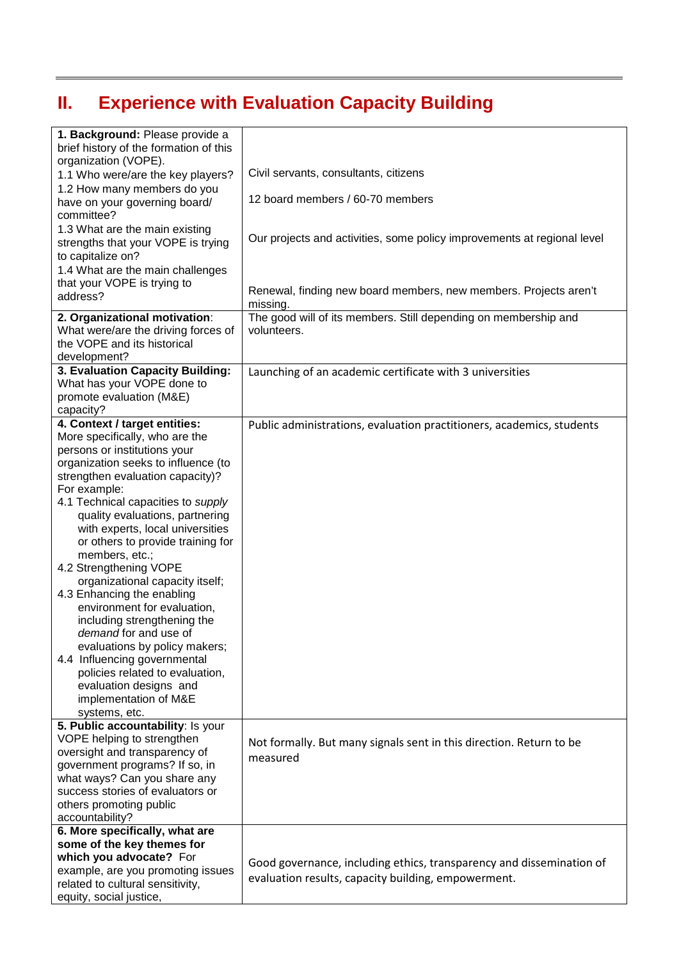## **II. Experience with Evaluation Capacity Building**

| 1. Background: Please provide a<br>brief history of the formation of this<br>organization (VOPE).                                                                                                                                                                                                                                                                                                             |                                                                                                                             |
|---------------------------------------------------------------------------------------------------------------------------------------------------------------------------------------------------------------------------------------------------------------------------------------------------------------------------------------------------------------------------------------------------------------|-----------------------------------------------------------------------------------------------------------------------------|
| 1.1 Who were/are the key players?                                                                                                                                                                                                                                                                                                                                                                             | Civil servants, consultants, citizens                                                                                       |
| 1.2 How many members do you<br>have on your governing board/<br>committee?                                                                                                                                                                                                                                                                                                                                    | 12 board members / 60-70 members                                                                                            |
| 1.3 What are the main existing<br>strengths that your VOPE is trying<br>to capitalize on?                                                                                                                                                                                                                                                                                                                     | Our projects and activities, some policy improvements at regional level                                                     |
| 1.4 What are the main challenges                                                                                                                                                                                                                                                                                                                                                                              |                                                                                                                             |
| that your VOPE is trying to<br>address?                                                                                                                                                                                                                                                                                                                                                                       | Renewal, finding new board members, new members. Projects aren't<br>missing.                                                |
| 2. Organizational motivation:                                                                                                                                                                                                                                                                                                                                                                                 | The good will of its members. Still depending on membership and                                                             |
| What were/are the driving forces of<br>the VOPE and its historical<br>development?                                                                                                                                                                                                                                                                                                                            | volunteers.                                                                                                                 |
| 3. Evaluation Capacity Building:                                                                                                                                                                                                                                                                                                                                                                              | Launching of an academic certificate with 3 universities                                                                    |
| What has your VOPE done to<br>promote evaluation (M&E)                                                                                                                                                                                                                                                                                                                                                        |                                                                                                                             |
| capacity?                                                                                                                                                                                                                                                                                                                                                                                                     |                                                                                                                             |
| 4. Context / target entities:<br>More specifically, who are the<br>persons or institutions your<br>organization seeks to influence (to<br>strengthen evaluation capacity)?<br>For example:<br>4.1 Technical capacities to supply<br>quality evaluations, partnering<br>with experts, local universities                                                                                                       | Public administrations, evaluation practitioners, academics, students                                                       |
| or others to provide training for<br>members, etc.;<br>4.2 Strengthening VOPE<br>organizational capacity itself;<br>4.3 Enhancing the enabling<br>environment for evaluation,<br>including strengthening the<br>demand for and use of<br>evaluations by policy makers;<br>4.4 Influencing governmental<br>policies related to evaluation,<br>evaluation designs and<br>implementation of M&E<br>systems, etc. |                                                                                                                             |
| 5. Public accountability: Is your<br>VOPE helping to strengthen<br>oversight and transparency of<br>government programs? If so, in<br>what ways? Can you share any<br>success stories of evaluators or<br>others promoting public<br>accountability?                                                                                                                                                          | Not formally. But many signals sent in this direction. Return to be<br>measured                                             |
| 6. More specifically, what are                                                                                                                                                                                                                                                                                                                                                                                |                                                                                                                             |
| some of the key themes for<br>which you advocate? For                                                                                                                                                                                                                                                                                                                                                         |                                                                                                                             |
| example, are you promoting issues<br>related to cultural sensitivity,<br>equity, social justice,                                                                                                                                                                                                                                                                                                              | Good governance, including ethics, transparency and dissemination of<br>evaluation results, capacity building, empowerment. |